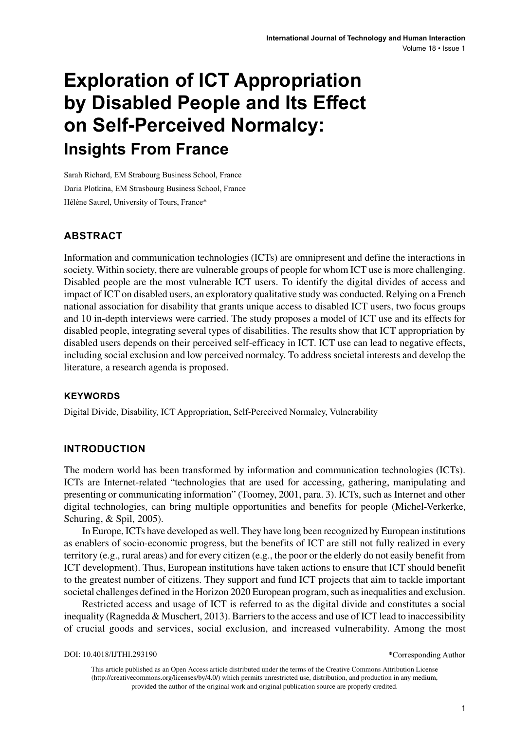# **Exploration of ICT Appropriation by Disabled People and Its Effect on Self-Perceived Normalcy: Insights From France**

Sarah Richard, EM Strabourg Business School, France Daria Plotkina, EM Strasbourg Business School, France Hélène Saurel, University of Tours, France\*

## **ABSTRACT**

Information and communication technologies (ICTs) are omnipresent and define the interactions in society. Within society, there are vulnerable groups of people for whom ICT use is more challenging. Disabled people are the most vulnerable ICT users. To identify the digital divides of access and impact of ICT on disabled users, an exploratory qualitative study was conducted. Relying on a French national association for disability that grants unique access to disabled ICT users, two focus groups and 10 in-depth interviews were carried. The study proposes a model of ICT use and its effects for disabled people, integrating several types of disabilities. The results show that ICT appropriation by disabled users depends on their perceived self-efficacy in ICT. ICT use can lead to negative effects, including social exclusion and low perceived normalcy. To address societal interests and develop the literature, a research agenda is proposed.

#### **Keywords**

Digital Divide, Disability, ICT Appropriation, Self-Perceived Normalcy, Vulnerability

#### **INTRODUCTION**

The modern world has been transformed by information and communication technologies (ICTs). ICTs are Internet-related "technologies that are used for accessing, gathering, manipulating and presenting or communicating information" (Toomey, 2001, para. 3). ICTs, such as Internet and other digital technologies, can bring multiple opportunities and benefits for people (Michel-Verkerke, Schuring, & Spil, 2005).

In Europe, ICTs have developed as well. They have long been recognized by European institutions as enablers of socio-economic progress, but the benefits of ICT are still not fully realized in every territory (e.g., rural areas) and for every citizen (e.g., the poor or the elderly do not easily benefit from ICT development). Thus, European institutions have taken actions to ensure that ICT should benefit to the greatest number of citizens. They support and fund ICT projects that aim to tackle important societal challenges defined in the Horizon 2020 European program, such as inequalities and exclusion.

Restricted access and usage of ICT is referred to as the digital divide and constitutes a social inequality (Ragnedda & Muschert, 2013). Barriers to the access and use of ICT lead to inaccessibility of crucial goods and services, social exclusion, and increased vulnerability. Among the most

This article published as an Open Access article distributed under the terms of the Creative Commons Attribution License (http://creativecommons.org/licenses/by/4.0/) which permits unrestricted use, distribution, and production in any medium, provided the author of the original work and original publication source are properly credited.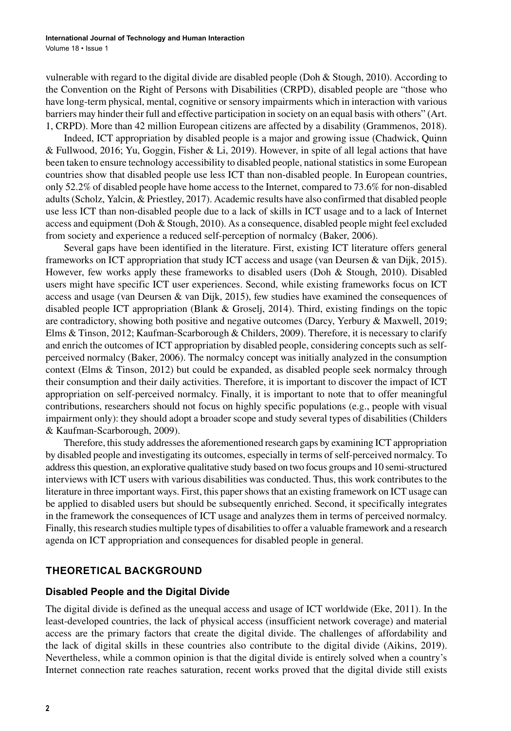vulnerable with regard to the digital divide are disabled people (Doh & Stough, 2010). According to the Convention on the Right of Persons with Disabilities (CRPD), disabled people are "those who have long-term physical, mental, cognitive or sensory impairments which in interaction with various barriers may hinder their full and effective participation in society on an equal basis with others" (Art. 1, CRPD). More than 42 million European citizens are affected by a disability (Grammenos, 2018).

Indeed, ICT appropriation by disabled people is a major and growing issue (Chadwick, Quinn & Fullwood, 2016; Yu, Goggin, Fisher & Li, 2019). However, in spite of all legal actions that have been taken to ensure technology accessibility to disabled people, national statistics in some European countries show that disabled people use less ICT than non-disabled people. In European countries, only 52.2% of disabled people have home access to the Internet, compared to 73.6% for non-disabled adults (Scholz, Yalcin, & Priestley, 2017). Academic results have also confirmed that disabled people use less ICT than non-disabled people due to a lack of skills in ICT usage and to a lack of Internet access and equipment (Doh & Stough, 2010). As a consequence, disabled people might feel excluded from society and experience a reduced self-perception of normalcy (Baker, 2006).

Several gaps have been identified in the literature. First, existing ICT literature offers general frameworks on ICT appropriation that study ICT access and usage (van Deursen & van Dijk, 2015). However, few works apply these frameworks to disabled users (Doh & Stough, 2010). Disabled users might have specific ICT user experiences. Second, while existing frameworks focus on ICT access and usage (van Deursen & van Dijk, 2015), few studies have examined the consequences of disabled people ICT appropriation (Blank & Groselj, 2014). Third, existing findings on the topic are contradictory, showing both positive and negative outcomes (Darcy, Yerbury & Maxwell, 2019; Elms & Tinson, 2012; Kaufman-Scarborough & Childers, 2009). Therefore, it is necessary to clarify and enrich the outcomes of ICT appropriation by disabled people, considering concepts such as selfperceived normalcy (Baker, 2006). The normalcy concept was initially analyzed in the consumption context (Elms & Tinson, 2012) but could be expanded, as disabled people seek normalcy through their consumption and their daily activities. Therefore, it is important to discover the impact of ICT appropriation on self-perceived normalcy. Finally, it is important to note that to offer meaningful contributions, researchers should not focus on highly specific populations (e.g., people with visual impairment only): they should adopt a broader scope and study several types of disabilities (Childers & Kaufman-Scarborough, 2009).

Therefore, this study addresses the aforementioned research gaps by examining ICT appropriation by disabled people and investigating its outcomes, especially in terms of self-perceived normalcy. To address this question, an explorative qualitative study based on two focus groups and 10 semi-structured interviews with ICT users with various disabilities was conducted. Thus, this work contributes to the literature in three important ways. First, this paper shows that an existing framework on ICT usage can be applied to disabled users but should be subsequently enriched. Second, it specifically integrates in the framework the consequences of ICT usage and analyzes them in terms of perceived normalcy. Finally, this research studies multiple types of disabilities to offer a valuable framework and a research agenda on ICT appropriation and consequences for disabled people in general.

#### **THEORETICAL BACKGROUND**

#### **Disabled People and the Digital Divide**

The digital divide is defined as the unequal access and usage of ICT worldwide (Eke, 2011). In the least-developed countries, the lack of physical access (insufficient network coverage) and material access are the primary factors that create the digital divide. The challenges of affordability and the lack of digital skills in these countries also contribute to the digital divide (Aikins, 2019). Nevertheless, while a common opinion is that the digital divide is entirely solved when a country's Internet connection rate reaches saturation, recent works proved that the digital divide still exists